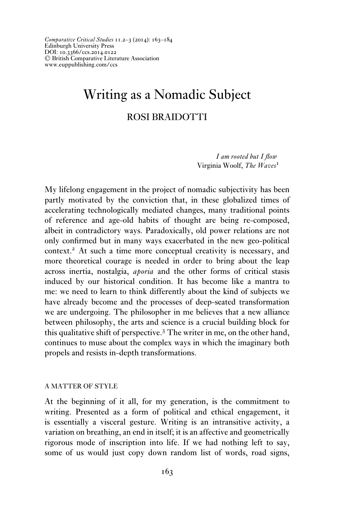*Comparative Critical Studies* 11.2–3 (2014): 163–184 Edinburgh University Press DOI: 10.3366/ccs.2014.0122 <sup>C</sup> British Comparative Literature Association www.euppublishing.com/ccs

# Writing as a Nomadic Subject

# ROSI BRAIDOTTI

*I am rooted but I flow* Virginia Woolf, *The Waves*<sup>1</sup>

My lifelong engagement in the project of nomadic subjectivity has been partly motivated by the conviction that, in these globalized times of accelerating technologically mediated changes, many traditional points of reference and age-old habits of thought are being re-composed, albeit in contradictory ways. Paradoxically, old power relations are not only confirmed but in many ways exacerbated in the new geo-political context.2 At such a time more conceptual creativity is necessary, and more theoretical courage is needed in order to bring about the leap across inertia, nostalgia, *aporia* and the other forms of critical stasis induced by our historical condition. It has become like a mantra to me: we need to learn to think differently about the kind of subjects we have already become and the processes of deep-seated transformation we are undergoing. The philosopher in me believes that a new alliance between philosophy, the arts and science is a crucial building block for this qualitative shift of perspective.3 The writer in me, on the other hand, continues to muse about the complex ways in which the imaginary both propels and resists in-depth transformations.

#### A MATTER OF STYLE

At the beginning of it all, for my generation, is the commitment to writing. Presented as a form of political and ethical engagement, it is essentially a visceral gesture. Writing is an intransitive activity, a variation on breathing, an end in itself; it is an affective and geometrically rigorous mode of inscription into life. If we had nothing left to say, some of us would just copy down random list of words, road signs,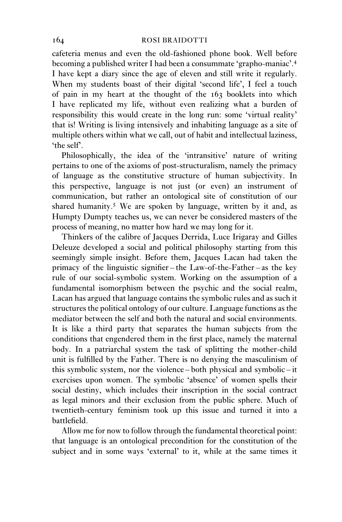cafeteria menus and even the old-fashioned phone book. Well before becoming a published writer I had been a consummate 'grapho-maniac'.<sup>4</sup> I have kept a diary since the age of eleven and still write it regularly. When my students boast of their digital 'second life', I feel a touch of pain in my heart at the thought of the 163 booklets into which I have replicated my life, without even realizing what a burden of responsibility this would create in the long run: some 'virtual reality' that is! Writing is living intensively and inhabiting language as a site of multiple others within what we call, out of habit and intellectual laziness, 'the self'.

Philosophically, the idea of the 'intransitive' nature of writing pertains to one of the axioms of post-structuralism, namely the primacy of language as the constitutive structure of human subjectivity. In this perspective, language is not just (or even) an instrument of communication, but rather an ontological site of constitution of our shared humanity.<sup>5</sup> We are spoken by language, written by it and, as Humpty Dumpty teaches us, we can never be considered masters of the process of meaning, no matter how hard we may long for it.

Thinkers of the calibre of Jacques Derrida, Luce Irigaray and Gilles Deleuze developed a social and political philosophy starting from this seemingly simple insight. Before them, Jacques Lacan had taken the primacy of the linguistic signifier – the Law-of-the-Father – as the key rule of our social-symbolic system. Working on the assumption of a fundamental isomorphism between the psychic and the social realm, Lacan has argued that language contains the symbolic rules and as such it structures the political ontology of our culture. Language functions as the mediator between the self and both the natural and social environments. It is like a third party that separates the human subjects from the conditions that engendered them in the first place, namely the maternal body. In a patriarchal system the task of splitting the mother-child unit is fulfilled by the Father. There is no denying the masculinism of this symbolic system, nor the violence – both physical and symbolic – it exercises upon women. The symbolic 'absence' of women spells their social destiny, which includes their inscription in the social contract as legal minors and their exclusion from the public sphere. Much of twentieth-century feminism took up this issue and turned it into a battlefield.

Allow me for now to follow through the fundamental theoretical point: that language is an ontological precondition for the constitution of the subject and in some ways 'external' to it, while at the same times it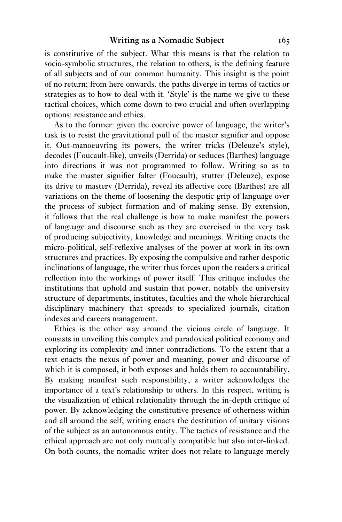is constitutive of the subject. What this means is that the relation to socio-symbolic structures, the relation to others, is the defining feature of all subjects and of our common humanity. This insight is the point of no return; from here onwards, the paths diverge in terms of tactics or strategies as to how to deal with it. 'Style' is the name we give to these tactical choices, which come down to two crucial and often overlapping options: resistance and ethics.

As to the former: given the coercive power of language, the writer's task is to resist the gravitational pull of the master signifier and oppose it. Out-manoeuvring its powers, the writer tricks (Deleuze's style), decodes (Foucault-like), unveils (Derrida) or seduces (Barthes) language into directions it was not programmed to follow. Writing so as to make the master signifier falter (Foucault), stutter (Deleuze), expose its drive to mastery (Derrida), reveal its affective core (Barthes) are all variations on the theme of loosening the despotic grip of language over the process of subject formation and of making sense. By extension, it follows that the real challenge is how to make manifest the powers of language and discourse such as they are exercised in the very task of producing subjectivity, knowledge and meanings. Writing enacts the micro-political, self-reflexive analyses of the power at work in its own structures and practices. By exposing the compulsive and rather despotic inclinations of language, the writer thus forces upon the readers a critical reflection into the workings of power itself. This critique includes the institutions that uphold and sustain that power, notably the university structure of departments, institutes, faculties and the whole hierarchical disciplinary machinery that spreads to specialized journals, citation indexes and careers management.

Ethics is the other way around the vicious circle of language. It consists in unveiling this complex and paradoxical political economy and exploring its complexity and inner contradictions. To the extent that a text enacts the nexus of power and meaning, power and discourse of which it is composed, it both exposes and holds them to accountability. By making manifest such responsibility, a writer acknowledges the importance of a text's relationship to others. In this respect, writing is the visualization of ethical relationality through the in-depth critique of power. By acknowledging the constitutive presence of otherness within and all around the self, writing enacts the destitution of unitary visions of the subject as an autonomous entity. The tactics of resistance and the ethical approach are not only mutually compatible but also inter-linked. On both counts, the nomadic writer does not relate to language merely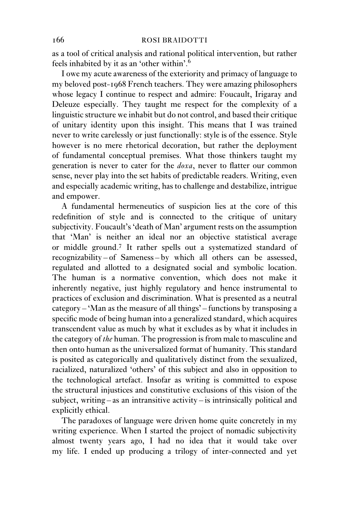as a tool of critical analysis and rational political intervention, but rather feels inhabited by it as an 'other within'.<sup>6</sup>

I owe my acute awareness of the exteriority and primacy of language to my beloved post-1968 French teachers. They were amazing philosophers whose legacy I continue to respect and admire: Foucault, Irigaray and Deleuze especially. They taught me respect for the complexity of a linguistic structure we inhabit but do not control, and based their critique of unitary identity upon this insight. This means that I was trained never to write carelessly or just functionally: style is of the essence. Style however is no mere rhetorical decoration, but rather the deployment of fundamental conceptual premises. What those thinkers taught my generation is never to cater for the *doxa*, never to flatter our common sense, never play into the set habits of predictable readers. Writing, even and especially academic writing, has to challenge and destabilize, intrigue and empower.

A fundamental hermeneutics of suspicion lies at the core of this redefinition of style and is connected to the critique of unitary subjectivity. Foucault's 'death of Man' argument rests on the assumption that 'Man' is neither an ideal nor an objective statistical average or middle ground.<sup>7</sup> It rather spells out a systematized standard of recognizability – of Sameness – by which all others can be assessed, regulated and allotted to a designated social and symbolic location. The human is a normative convention, which does not make it inherently negative, just highly regulatory and hence instrumental to practices of exclusion and discrimination. What is presented as a neutral category – 'Man as the measure of all things' – functions by transposing a specific mode of being human into a generalized standard, which acquires transcendent value as much by what it excludes as by what it includes in the category of *the* human. The progression is from male to masculine and then onto human as the universalized format of humanity. This standard is posited as categorically and qualitatively distinct from the sexualized, racialized, naturalized 'others' of this subject and also in opposition to the technological artefact. Insofar as writing is committed to expose the structural injustices and constitutive exclusions of this vision of the subject, writing – as an intransitive activity – is intrinsically political and explicitly ethical.

The paradoxes of language were driven home quite concretely in my writing experience. When I started the project of nomadic subjectivity almost twenty years ago, I had no idea that it would take over my life. I ended up producing a trilogy of inter-connected and yet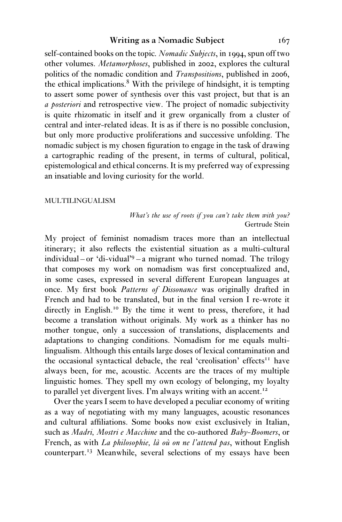self-contained books on the topic*. Nomadic Subjects*, in 1994, spun off two other volumes. *Metamorphoses*, published in 2002, explores the cultural politics of the nomadic condition and *Transpositions*, published in 2006, the ethical implications. $8$  With the privilege of hindsight, it is tempting to assert some power of synthesis over this vast project, but that is an *a posteriori* and retrospective view. The project of nomadic subjectivity is quite rhizomatic in itself and it grew organically from a cluster of central and inter-related ideas. It is as if there is no possible conclusion, but only more productive proliferations and successive unfolding. The nomadic subject is my chosen figuration to engage in the task of drawing a cartographic reading of the present, in terms of cultural, political, epistemological and ethical concerns. It is my preferred way of expressing an insatiable and loving curiosity for the world.

#### MULTILINGUALISM

*What's the use of roots if you can't take them with you?* Gertrude Stein

My project of feminist nomadism traces more than an intellectual itinerary; it also reflects the existential situation as a multi-cultural individual – or 'di-vidual'<sup>9</sup> – a migrant who turned nomad. The trilogy that composes my work on nomadism was first conceptualized and, in some cases, expressed in several different European languages at once. My first book *Patterns of Dissonance* was originally drafted in French and had to be translated, but in the final version I re-wrote it directly in English.<sup>10</sup> By the time it went to press, therefore, it had become a translation without originals. My work as a thinker has no mother tongue, only a succession of translations, displacements and adaptations to changing conditions. Nomadism for me equals multilingualism. Although this entails large doses of lexical contamination and the occasional syntactical debacle, the real 'creolisation' effects<sup>11</sup> have always been, for me, acoustic. Accents are the traces of my multiple linguistic homes. They spell my own ecology of belonging, my loyalty to parallel yet divergent lives. I'm always writing with an accent.<sup>12</sup>

Over the years I seem to have developed a peculiar economy of writing as a way of negotiating with my many languages, acoustic resonances and cultural affiliations. Some books now exist exclusively in Italian, such as *Madri, Mostri e Macchine* and the co-authored *Baby-Boomers*, or French, as with *La philosophie, là où on ne l'attend pas*, without English counterpart.13 Meanwhile, several selections of my essays have been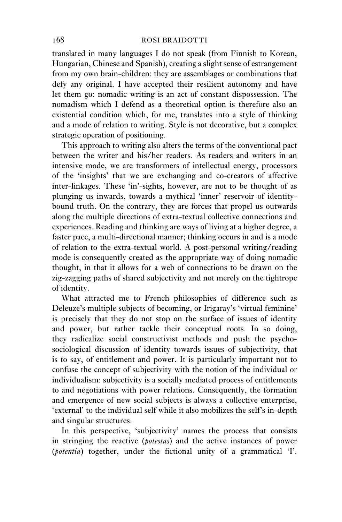translated in many languages I do not speak (from Finnish to Korean, Hungarian, Chinese and Spanish), creating a slight sense of estrangement from my own brain-children: they are assemblages or combinations that defy any original. I have accepted their resilient autonomy and have let them go: nomadic writing is an act of constant dispossession. The nomadism which I defend as a theoretical option is therefore also an existential condition which, for me, translates into a style of thinking and a mode of relation to writing. Style is not decorative, but a complex strategic operation of positioning.

This approach to writing also alters the terms of the conventional pact between the writer and his/her readers. As readers and writers in an intensive mode, we are transformers of intellectual energy, processors of the 'insights' that we are exchanging and co-creators of affective inter-linkages. These 'in'-sights, however, are not to be thought of as plunging us inwards, towards a mythical 'inner' reservoir of identitybound truth. On the contrary, they are forces that propel us outwards along the multiple directions of extra-textual collective connections and experiences. Reading and thinking are ways of living at a higher degree, a faster pace, a multi-directional manner; thinking occurs in and is a mode of relation to the extra-textual world. A post-personal writing/reading mode is consequently created as the appropriate way of doing nomadic thought, in that it allows for a web of connections to be drawn on the zig-zagging paths of shared subjectivity and not merely on the tightrope of identity.

What attracted me to French philosophies of difference such as Deleuze's multiple subjects of becoming, or Irigaray's 'virtual feminine' is precisely that they do not stop on the surface of issues of identity and power, but rather tackle their conceptual roots. In so doing, they radicalize social constructivist methods and push the psychosociological discussion of identity towards issues of subjectivity, that is to say, of entitlement and power. It is particularly important not to confuse the concept of subjectivity with the notion of the individual or individualism: subjectivity is a socially mediated process of entitlements to and negotiations with power relations. Consequently, the formation and emergence of new social subjects is always a collective enterprise, 'external' to the individual self while it also mobilizes the self's in-depth and singular structures.

In this perspective, 'subjectivity' names the process that consists in stringing the reactive (*potestas*) and the active instances of power (*potentia*) together, under the fictional unity of a grammatical 'I'.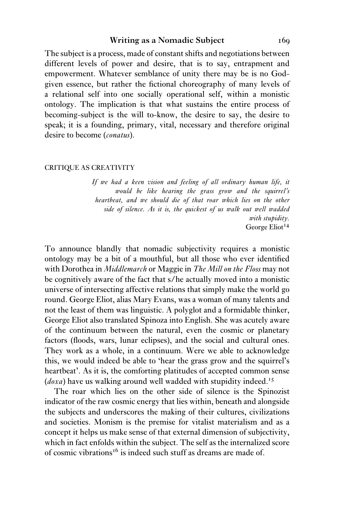The subject is a process, made of constant shifts and negotiations between different levels of power and desire, that is to say, entrapment and empowerment. Whatever semblance of unity there may be is no Godgiven essence, but rather the fictional choreography of many levels of a relational self into one socially operational self, within a monistic ontology. The implication is that what sustains the entire process of becoming-subject is the will to-know, the desire to say, the desire to speak; it is a founding, primary, vital, necessary and therefore original desire to become (*conatus*).

#### CRITIQUE AS CREATIVITY

*If we had a keen vision and feeling of all ordinary human life, it would be like hearing the grass grow and the squirrel's heartbeat, and we should die of that roar which lies on the other side of silence. As it is, the quickest of us walk out well wadded with stupidity.* George Eliot<sup>14</sup>

To announce blandly that nomadic subjectivity requires a monistic ontology may be a bit of a mouthful, but all those who ever identified with Dorothea in *Middlemarch* or Maggie in *The Mill on the Floss* may not be cognitively aware of the fact that s/he actually moved into a monistic universe of intersecting affective relations that simply make the world go round. George Eliot, alias Mary Evans, was a woman of many talents and not the least of them was linguistic. A polyglot and a formidable thinker, George Eliot also translated Spinoza into English. She was acutely aware of the continuum between the natural, even the cosmic or planetary factors (floods, wars, lunar eclipses), and the social and cultural ones. They work as a whole, in a continuum. Were we able to acknowledge this, we would indeed be able to 'hear the grass grow and the squirrel's heartbeat'. As it is, the comforting platitudes of accepted common sense (*doxa*) have us walking around well wadded with stupidity indeed.<sup>15</sup>

The roar which lies on the other side of silence is the Spinozist indicator of the raw cosmic energy that lies within, beneath and alongside the subjects and underscores the making of their cultures, civilizations and societies. Monism is the premise for vitalist materialism and as a concept it helps us make sense of that external dimension of subjectivity, which in fact enfolds within the subject. The self as the internalized score of cosmic vibrations<sup>16</sup> is indeed such stuff as dreams are made of.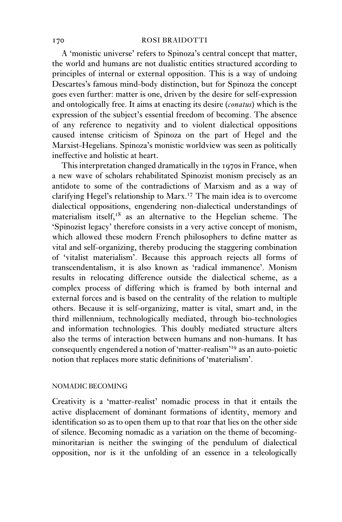A 'monistic universe' refers to Spinoza's central concept that matter, the world and humans are not dualistic entities structured according to principles of internal or external opposition. This is a way of undoing Descartes's famous mind-body distinction, but for Spinoza the concept goes even further: matter is one, driven by the desire for self-expression and ontologically free. It aims at enacting its desire (*conatus*) which is the expression of the subject's essential freedom of becoming. The absence of any reference to negativity and to violent dialectical oppositions caused intense criticism of Spinoza on the part of Hegel and the Marxist-Hegelians. Spinoza's monistic worldview was seen as politically ineffective and holistic at heart.

This interpretation changed dramatically in the 1970s in France, when a new wave of scholars rehabilitated Spinozist monism precisely as an antidote to some of the contradictions of Marxism and as a way of clarifying Hegel's relationship to Marx.<sup>17</sup> The main idea is to overcome dialectical oppositions, engendering non-dialectical understandings of materialism itself, $18$  as an alternative to the Hegelian scheme. The 'Spinozist legacy' therefore consists in a very active concept of monism, which allowed these modern French philosophers to define matter as vital and self-organizing, thereby producing the staggering combination of 'vitalist materialism'. Because this approach rejects all forms of transcendentalism, it is also known as 'radical immanence'. Monism results in relocating difference outside the dialectical scheme, as a complex process of differing which is framed by both internal and external forces and is based on the centrality of the relation to multiple others. Because it is self-organizing, matter is vital, smart and, in the third millennium, technologically mediated, through bio-technologies and information technologies. This doubly mediated structure alters also the terms of interaction between humans and non-humans. It has consequently engendered a notion of 'matter-realism'<sup>19</sup> as an auto-poietic notion that replaces more static definitions of 'materialism'.

#### NOMADIC BECOMING

Creativity is a 'matter-realist' nomadic process in that it entails the active displacement of dominant formations of identity, memory and identification so as to open them up to that roar that lies on the other side of silence. Becoming nomadic as a variation on the theme of becomingminoritarian is neither the swinging of the pendulum of dialectical opposition, nor is it the unfolding of an essence in a teleologically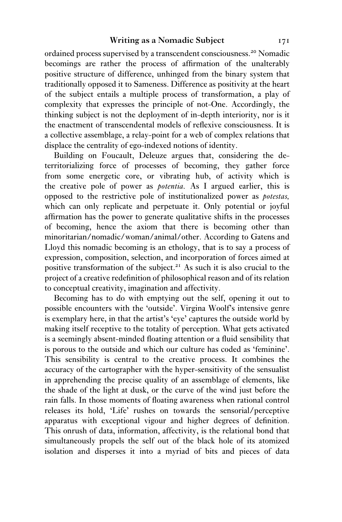ordained process supervised by a transcendent consciousness.<sup>20</sup> Nomadic becomings are rather the process of affirmation of the unalterably positive structure of difference, unhinged from the binary system that traditionally opposed it to Sameness. Difference as positivity at the heart of the subject entails a multiple process of transformation, a play of complexity that expresses the principle of not-One. Accordingly, the thinking subject is not the deployment of in-depth interiority, nor is it the enactment of transcendental models of reflexive consciousness. It is a collective assemblage, a relay-point for a web of complex relations that displace the centrality of ego-indexed notions of identity.

Building on Foucault, Deleuze argues that, considering the deterritorializing force of processes of becoming, they gather force from some energetic core, or vibrating hub, of activity which is the creative pole of power as *potentia.* As I argued earlier, this is opposed to the restrictive pole of institutionalized power as *potestas,* which can only replicate and perpetuate it. Only potential or joyful affirmation has the power to generate qualitative shifts in the processes of becoming, hence the axiom that there is becoming other than minoritarian/nomadic/woman/animal/other. According to Gatens and Lloyd this nomadic becoming is an ethology, that is to say a process of expression, composition, selection, and incorporation of forces aimed at positive transformation of the subject. $2I$  As such it is also crucial to the project of a creative redefinition of philosophical reason and of its relation to conceptual creativity, imagination and affectivity.

Becoming has to do with emptying out the self, opening it out to possible encounters with the 'outside'. Virgina Woolf's intensive genre is exemplary here, in that the artist's 'eye' captures the outside world by making itself receptive to the totality of perception. What gets activated is a seemingly absent-minded floating attention or a fluid sensibility that is porous to the outside and which our culture has coded as 'feminine'. This sensibility is central to the creative process. It combines the accuracy of the cartographer with the hyper-sensitivity of the sensualist in apprehending the precise quality of an assemblage of elements, like the shade of the light at dusk, or the curve of the wind just before the rain falls. In those moments of floating awareness when rational control releases its hold, 'Life' rushes on towards the sensorial/perceptive apparatus with exceptional vigour and higher degrees of definition. This onrush of data, information, affectivity, is the relational bond that simultaneously propels the self out of the black hole of its atomized isolation and disperses it into a myriad of bits and pieces of data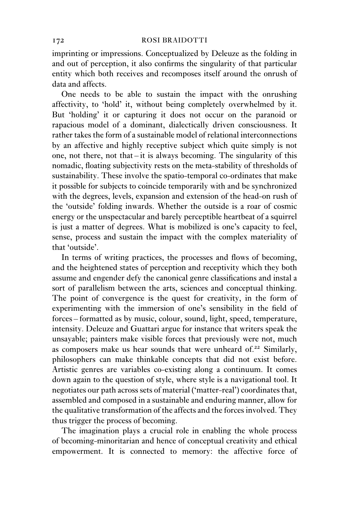imprinting or impressions. Conceptualized by Deleuze as the folding in and out of perception, it also confirms the singularity of that particular entity which both receives and recomposes itself around the onrush of data and affects.

One needs to be able to sustain the impact with the onrushing affectivity, to 'hold' it, without being completely overwhelmed by it. But 'holding' it or capturing it does not occur on the paranoid or rapacious model of a dominant, dialectically driven consciousness. It rather takes the form of a sustainable model of relational interconnections by an affective and highly receptive subject which quite simply is not one, not there, not that – it is always becoming. The singularity of this nomadic, floating subjectivity rests on the meta-stability of thresholds of sustainability. These involve the spatio-temporal co-ordinates that make it possible for subjects to coincide temporarily with and be synchronized with the degrees, levels, expansion and extension of the head-on rush of the 'outside' folding inwards. Whether the outside is a roar of cosmic energy or the unspectacular and barely perceptible heartbeat of a squirrel is just a matter of degrees. What is mobilized is one's capacity to feel, sense, process and sustain the impact with the complex materiality of that 'outside'.

In terms of writing practices, the processes and flows of becoming, and the heightened states of perception and receptivity which they both assume and engender defy the canonical genre classifications and instal a sort of parallelism between the arts, sciences and conceptual thinking. The point of convergence is the quest for creativity, in the form of experimenting with the immersion of one's sensibility in the field of forces – formatted as by music, colour, sound, light, speed, temperature, intensity. Deleuze and Guattari argue for instance that writers speak the unsayable; painters make visible forces that previously were not, much as composers make us hear sounds that were unheard of.<sup>22</sup> Similarly, philosophers can make thinkable concepts that did not exist before. Artistic genres are variables co-existing along a continuum. It comes down again to the question of style, where style is a navigational tool. It negotiates our path across sets of material ('matter-real') coordinates that, assembled and composed in a sustainable and enduring manner, allow for the qualitative transformation of the affects and the forces involved. They thus trigger the process of becoming.

The imagination plays a crucial role in enabling the whole process of becoming-minoritarian and hence of conceptual creativity and ethical empowerment. It is connected to memory: the affective force of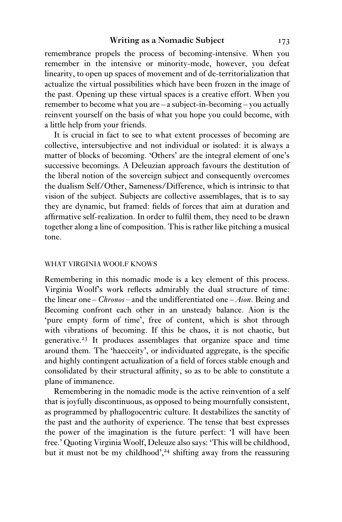remembrance propels the process of becoming-intensive. When you remember in the intensive or minority-mode, however, you defeat linearity, to open up spaces of movement and of de-territorialization that actualize the virtual possibilities which have been frozen in the image of the past. Opening up these virtual spaces is a creative effort. When you remember to become what you are – a subject-in-becoming – you actually reinvent yourself on the basis of what you hope you could become, with a little help from your friends.

It is crucial in fact to see to what extent processes of becoming are collective, intersubjective and not individual or isolated: it is always a matter of blocks of becoming. 'Others' are the integral element of one's successive becomings. A Deleuzian approach favours the destitution of the liberal notion of the sovereign subject and consequently overcomes the dualism Self/Other, Sameness/Difference, which is intrinsic to that vision of the subject. Subjects are collective assemblages, that is to say they are dynamic, but framed: fields of forces that aim at duration and affirmative self-realization. In order to fulfil them, they need to be drawn together along a line of composition. This is rather like pitching a musical tone.

# WHAT VIRGINIA WOOLF KNOWS

Remembering in this nomadic mode is a key element of this process. Virginia Woolf's work reflects admirably the dual structure of time: the linear one – *Chronos –* and the undifferentiated one –*Aion*. Being and Becoming confront each other in an unsteady balance. Aion is the 'pure empty form of time', free of content, which is shot through with vibrations of becoming. If this be chaos, it is not chaotic, but generative.<sup>23</sup> It produces assemblages that organize space and time around them. The 'haecceity', or individuated aggregate, is the specific and highly contingent actualization of a field of forces stable enough and consolidated by their structural affinity, so as to be able to constitute a plane of immanence.

Remembering in the nomadic mode is the active reinvention of a self that is joyfully discontinuous, as opposed to being mournfully consistent, as programmed by phallogocentric culture. It destabilizes the sanctity of the past and the authority of experience. The tense that best expresses the power of the imagination is the future perfect: 'I will have been free.' Quoting Virginia Woolf, Deleuze also says: 'This will be childhood, but it must not be my childhood', $24$  shifting away from the reassuring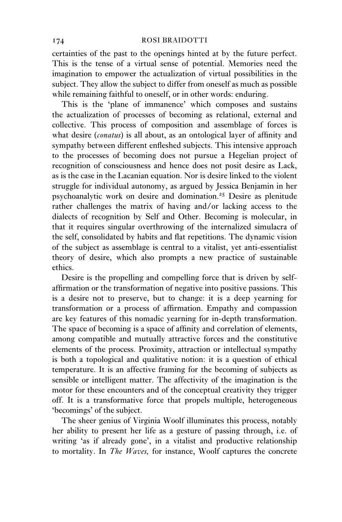certainties of the past to the openings hinted at by the future perfect. This is the tense of a virtual sense of potential. Memories need the imagination to empower the actualization of virtual possibilities in the subject. They allow the subject to differ from oneself as much as possible while remaining faithful to oneself, or in other words: enduring.

This is the 'plane of immanence' which composes and sustains the actualization of processes of becoming as relational, external and collective. This process of composition and assemblage of forces is what desire (*conatus*) is all about, as an ontological layer of affinity and sympathy between different enfleshed subjects. This intensive approach to the processes of becoming does not pursue a Hegelian project of recognition of consciousness and hence does not posit desire as Lack, as is the case in the Lacanian equation. Nor is desire linked to the violent struggle for individual autonomy, as argued by Jessica Benjamin in her psychoanalytic work on desire and domination.25 Desire as plenitude rather challenges the matrix of having and/or lacking access to the dialects of recognition by Self and Other. Becoming is molecular, in that it requires singular overthrowing of the internalized simulacra of the self, consolidated by habits and flat repetitions. The dynamic vision of the subject as assemblage is central to a vitalist, yet anti-essentialist theory of desire, which also prompts a new practice of sustainable ethics.

Desire is the propelling and compelling force that is driven by selfaffirmation or the transformation of negative into positive passions. This is a desire not to preserve, but to change: it is a deep yearning for transformation or a process of affirmation. Empathy and compassion are key features of this nomadic yearning for in-depth transformation. The space of becoming is a space of affinity and correlation of elements, among compatible and mutually attractive forces and the constitutive elements of the process. Proximity, attraction or intellectual sympathy is both a topological and qualitative notion: it is a question of ethical temperature. It is an affective framing for the becoming of subjects as sensible or intelligent matter. The affectivity of the imagination is the motor for these encounters and of the conceptual creativity they trigger off. It is a transformative force that propels multiple, heterogeneous 'becomings' of the subject.

The sheer genius of Virginia Woolf illuminates this process, notably her ability to present her life as a gesture of passing through, i.e. of writing 'as if already gone', in a vitalist and productive relationship to mortality. In *The Waves,* for instance, Woolf captures the concrete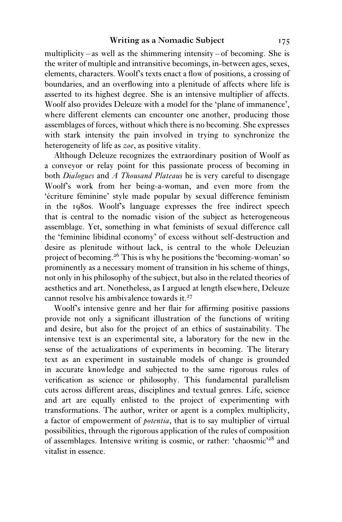multiplicity – as well as the shimmering intensity – of becoming. She is the writer of multiple and intransitive becomings, in-between ages, sexes, elements, characters. Woolf's texts enact a flow of positions, a crossing of boundaries, and an overflowing into a plenitude of affects where life is asserted to its highest degree. She is an intensive multiplier of affects. Woolf also provides Deleuze with a model for the 'plane of immanence', where different elements can encounter one another, producing those assemblages of forces, without which there is no becoming. She expresses with stark intensity the pain involved in trying to synchronize the heterogeneity of life as *zoe*, as positive vitality.

Although Deleuze recognizes the extraordinary position of Woolf as a conveyor or relay point for this passionate process of becoming in both *Dialogues* and *A Thousand Plateaus* he is very careful to disengage Woolf's work from her being-a-woman, and even more from the 'écriture féminine' style made popular by sexual difference feminism in the 1980s. Woolf's language expresses the free indirect speech that is central to the nomadic vision of the subject as heterogeneous assemblage. Yet, something in what feminists of sexual difference call the 'feminine libidinal economy' of excess without self-destruction and desire as plenitude without lack, is central to the whole Deleuzian project of becoming.<sup>26</sup> This is why he positions the 'becoming-woman' so prominently as a necessary moment of transition in his scheme of things, not only in his philosophy of the subject, but also in the related theories of aesthetics and art. Nonetheless, as I argued at length elsewhere, Deleuze cannot resolve his ambivalence towards it.<sup>27</sup>

Woolf's intensive genre and her flair for affirming positive passions provide not only a significant illustration of the functions of writing and desire, but also for the project of an ethics of sustainability. The intensive text is an experimental site, a laboratory for the new in the sense of the actualizations of experiments in becoming. The literary text as an experiment in sustainable models of change is grounded in accurate knowledge and subjected to the same rigorous rules of verification as science or philosophy. This fundamental parallelism cuts across different areas, disciplines and textual genres. Life, science and art are equally enlisted to the project of experimenting with transformations. The author, writer or agent is a complex multiplicity, a factor of empowerment of *potentia*, that is to say multiplier of virtual possibilities, through the rigorous application of the rules of composition of assemblages. Intensive writing is cosmic, or rather: 'chaosmic'<sup>28</sup> and vitalist in essence.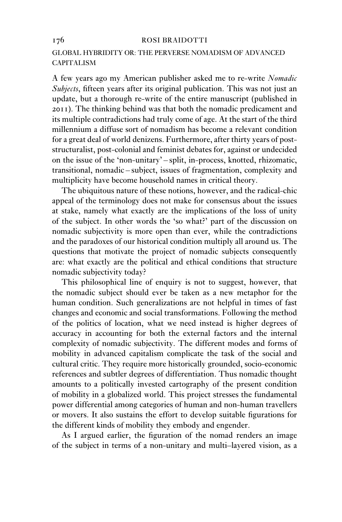# GLOBAL HYBRIDITY OR: THE PERVERSE NOMADISM OF ADVANCED **CAPITALISM**

A few years ago my American publisher asked me to re-write *Nomadic Subjects*, fifteen years after its original publication. This was not just an update, but a thorough re-write of the entire manuscript (published in 2011). The thinking behind was that both the nomadic predicament and its multiple contradictions had truly come of age. At the start of the third millennium a diffuse sort of nomadism has become a relevant condition for a great deal of world denizens. Furthermore, after thirty years of poststructuralist, post-colonial and feminist debates for, against or undecided on the issue of the 'non-unitary' – split, in-process, knotted, rhizomatic, transitional, nomadic – subject, issues of fragmentation, complexity and multiplicity have become household names in critical theory.

The ubiquitous nature of these notions, however, and the radical-chic appeal of the terminology does not make for consensus about the issues at stake, namely what exactly are the implications of the loss of unity of the subject. In other words the 'so what?' part of the discussion on nomadic subjectivity is more open than ever, while the contradictions and the paradoxes of our historical condition multiply all around us. The questions that motivate the project of nomadic subjects consequently are: what exactly are the political and ethical conditions that structure nomadic subjectivity today?

This philosophical line of enquiry is not to suggest, however, that the nomadic subject should ever be taken as a new metaphor for the human condition. Such generalizations are not helpful in times of fast changes and economic and social transformations. Following the method of the politics of location, what we need instead is higher degrees of accuracy in accounting for both the external factors and the internal complexity of nomadic subjectivity. The different modes and forms of mobility in advanced capitalism complicate the task of the social and cultural critic. They require more historically grounded, socio-economic references and subtler degrees of differentiation. Thus nomadic thought amounts to a politically invested cartography of the present condition of mobility in a globalized world. This project stresses the fundamental power differential among categories of human and non-human travellers or movers. It also sustains the effort to develop suitable figurations for the different kinds of mobility they embody and engender.

As I argued earlier, the figuration of the nomad renders an image of the subject in terms of a non-unitary and multi–layered vision, as a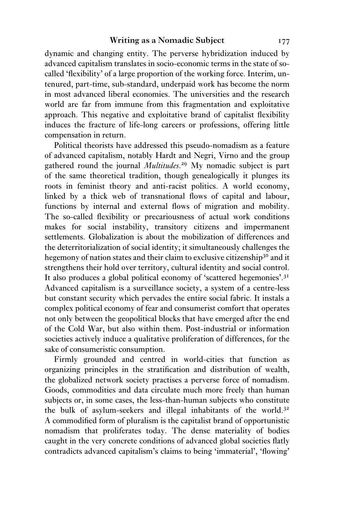dynamic and changing entity. The perverse hybridization induced by advanced capitalism translates in socio-economic terms in the state of socalled 'flexibility' of a large proportion of the working force. Interim, untenured, part-time, sub-standard, underpaid work has become the norm in most advanced liberal economies. The universities and the research world are far from immune from this fragmentation and exploitative approach. This negative and exploitative brand of capitalist flexibility induces the fracture of life-long careers or professions, offering little compensation in return.

Political theorists have addressed this pseudo-nomadism as a feature of advanced capitalism, notably Hardt and Negri, Virno and the group gathered round the journal *Multitudes*. <sup>29</sup> My nomadic subject is part of the same theoretical tradition, though genealogically it plunges its roots in feminist theory and anti-racist politics. A world economy, linked by a thick web of transnational flows of capital and labour, functions by internal and external flows of migration and mobility. The so-called flexibility or precariousness of actual work conditions makes for social instability, transitory citizens and impermanent settlements. Globalization is about the mobilization of differences and the deterritorialization of social identity; it simultaneously challenges the hegemony of nation states and their claim to exclusive citizenship<sup>30</sup> and it strengthens their hold over territory, cultural identity and social control. It also produces a global political economy of 'scattered hegemonies'.<sup>31</sup> Advanced capitalism is a surveillance society, a system of a centre-less but constant security which pervades the entire social fabric. It instals a complex political economy of fear and consumerist comfort that operates not only between the geopolitical blocks that have emerged after the end of the Cold War, but also within them. Post-industrial or information societies actively induce a qualitative proliferation of differences, for the sake of consumeristic consumption.

Firmly grounded and centred in world-cities that function as organizing principles in the stratification and distribution of wealth, the globalized network society practises a perverse force of nomadism. Goods, commodities and data circulate much more freely than human subjects or, in some cases, the less-than-human subjects who constitute the bulk of asylum-seekers and illegal inhabitants of the world.<sup>32</sup> A commodified form of pluralism is the capitalist brand of opportunistic nomadism that proliferates today. The dense materiality of bodies caught in the very concrete conditions of advanced global societies flatly contradicts advanced capitalism's claims to being 'immaterial', 'flowing'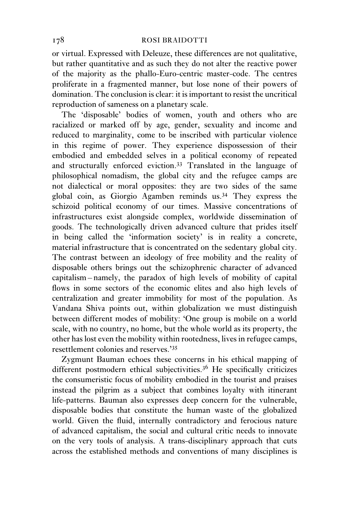or virtual. Expressed with Deleuze, these differences are not qualitative, but rather quantitative and as such they do not alter the reactive power of the majority as the phallo-Euro-centric master-code. The centres proliferate in a fragmented manner, but lose none of their powers of domination. The conclusion is clear: it is important to resist the uncritical reproduction of sameness on a planetary scale.

The 'disposable' bodies of women, youth and others who are racialized or marked off by age, gender, sexuality and income and reduced to marginality, come to be inscribed with particular violence in this regime of power. They experience dispossession of their embodied and embedded selves in a political economy of repeated and structurally enforced eviction.33 Translated in the language of philosophical nomadism, the global city and the refugee camps are not dialectical or moral opposites: they are two sides of the same global coin, as Giorgio Agamben reminds us.34 They express the schizoid political economy of our times. Massive concentrations of infrastructures exist alongside complex, worldwide dissemination of goods. The technologically driven advanced culture that prides itself in being called the 'information society' is in reality a concrete, material infrastructure that is concentrated on the sedentary global city. The contrast between an ideology of free mobility and the reality of disposable others brings out the schizophrenic character of advanced capitalism – namely, the paradox of high levels of mobility of capital flows in some sectors of the economic elites and also high levels of centralization and greater immobility for most of the population. As Vandana Shiva points out, within globalization we must distinguish between different modes of mobility: 'One group is mobile on a world scale, with no country, no home, but the whole world as its property, the other has lost even the mobility within rootedness, lives in refugee camps, resettlement colonies and reserves.'35

Zygmunt Bauman echoes these concerns in his ethical mapping of different postmodern ethical subjectivities.<sup>36</sup> He specifically criticizes the consumeristic focus of mobility embodied in the tourist and praises instead the pilgrim as a subject that combines loyalty with itinerant life-patterns. Bauman also expresses deep concern for the vulnerable, disposable bodies that constitute the human waste of the globalized world. Given the fluid, internally contradictory and ferocious nature of advanced capitalism, the social and cultural critic needs to innovate on the very tools of analysis. A trans-disciplinary approach that cuts across the established methods and conventions of many disciplines is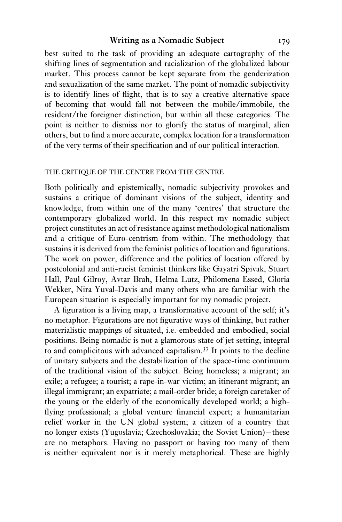best suited to the task of providing an adequate cartography of the shifting lines of segmentation and racialization of the globalized labour market. This process cannot be kept separate from the genderization and sexualization of the same market. The point of nomadic subjectivity is to identify lines of flight, that is to say a creative alternative space of becoming that would fall not between the mobile/immobile, the resident/the foreigner distinction, but within all these categories. The point is neither to dismiss nor to glorify the status of marginal, alien others, but to find a more accurate, complex location for a transformation of the very terms of their specification and of our political interaction.

# THE CRITIQUE OF THE CENTRE FROM THE CENTRE

Both politically and epistemically, nomadic subjectivity provokes and sustains a critique of dominant visions of the subject, identity and knowledge, from within one of the many 'centres' that structure the contemporary globalized world. In this respect my nomadic subject project constitutes an act of resistance against methodological nationalism and a critique of Euro-centrism from within. The methodology that sustains it is derived from the feminist politics of location and figurations. The work on power, difference and the politics of location offered by postcolonial and anti-racist feminist thinkers like Gayatri Spivak, Stuart Hall, Paul Gilroy, Avtar Brah, Helma Lutz, Philomena Essed, Gloria Wekker, Nira Yuval-Davis and many others who are familiar with the European situation is especially important for my nomadic project.

A figuration is a living map, a transformative account of the self; it's no metaphor. Figurations are not figurative ways of thinking, but rather materialistic mappings of situated, i.e. embedded and embodied, social positions. Being nomadic is not a glamorous state of jet setting, integral to and complicitous with advanced capitalism.<sup>37</sup> It points to the decline of unitary subjects and the destabilization of the space-time continuum of the traditional vision of the subject. Being homeless; a migrant; an exile; a refugee; a tourist; a rape-in-war victim; an itinerant migrant; an illegal immigrant; an expatriate; a mail-order bride; a foreign caretaker of the young or the elderly of the economically developed world; a highflying professional; a global venture financial expert; a humanitarian relief worker in the UN global system; a citizen of a country that no longer exists (Yugoslavia; Czechoslovakia; the Soviet Union) – these are no metaphors. Having no passport or having too many of them is neither equivalent nor is it merely metaphorical. These are highly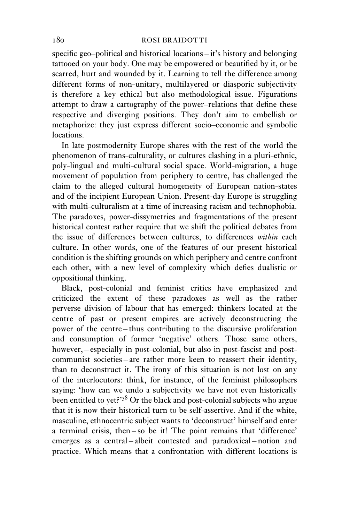specific geo–political and historical locations – it's history and belonging tattooed on your body. One may be empowered or beautified by it, or be scarred, hurt and wounded by it. Learning to tell the difference among different forms of non-unitary, multilayered or diasporic subjectivity is therefore a key ethical but also methodological issue. Figurations attempt to draw a cartography of the power–relations that define these respective and diverging positions. They don't aim to embellish or metaphorize: they just express different socio–economic and symbolic locations.

In late postmodernity Europe shares with the rest of the world the phenomenon of trans-culturality, or cultures clashing in a pluri-ethnic, poly-lingual and multi-cultural social space. World-migration, a huge movement of population from periphery to centre, has challenged the claim to the alleged cultural homogeneity of European nation-states and of the incipient European Union. Present-day Europe is struggling with multi-culturalism at a time of increasing racism and technophobia. The paradoxes, power-dissymetries and fragmentations of the present historical contest rather require that we shift the political debates from the issue of differences between cultures, to differences *within* each culture. In other words, one of the features of our present historical condition is the shifting grounds on which periphery and centre confront each other, with a new level of complexity which defies dualistic or oppositional thinking.

Black, post-colonial and feminist critics have emphasized and criticized the extent of these paradoxes as well as the rather perverse division of labour that has emerged: thinkers located at the centre of past or present empires are actively deconstructing the power of the centre – thus contributing to the discursive proliferation and consumption of former 'negative' others. Those same others, however, – especially in post-colonial, but also in post-fascist and postcommunist societies – are rather more keen to reassert their identity, than to deconstruct it. The irony of this situation is not lost on any of the interlocutors: think, for instance, of the feminist philosophers saying: 'how can we undo a subjectivity we have not even historically been entitled to yet?'<sup>38</sup> Or the black and post-colonial subjects who argue that it is now their historical turn to be self-assertive. And if the white, masculine, ethnocentric subject wants to 'deconstruct' himself and enter a terminal crisis, then – so be it! The point remains that 'difference' emerges as a central – albeit contested and paradoxical – notion and practice. Which means that a confrontation with different locations is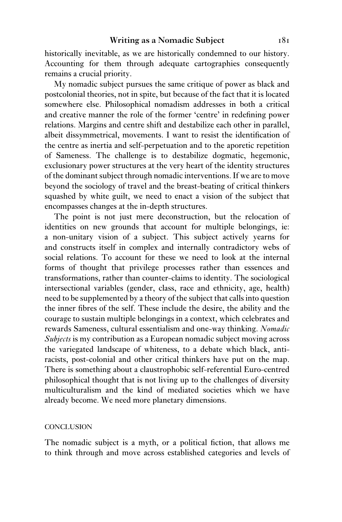historically inevitable, as we are historically condemned to our history. Accounting for them through adequate cartographies consequently remains a crucial priority.

My nomadic subject pursues the same critique of power as black and postcolonial theories, not in spite, but because of the fact that it is located somewhere else. Philosophical nomadism addresses in both a critical and creative manner the role of the former 'centre' in redefining power relations. Margins and centre shift and destabilize each other in parallel, albeit dissymmetrical, movements. I want to resist the identification of the centre as inertia and self-perpetuation and to the aporetic repetition of Sameness. The challenge is to destabilize dogmatic, hegemonic, exclusionary power structures at the very heart of the identity structures of the dominant subject through nomadic interventions. If we are to move beyond the sociology of travel and the breast-beating of critical thinkers squashed by white guilt, we need to enact a vision of the subject that encompasses changes at the in-depth structures.

The point is not just mere deconstruction, but the relocation of identities on new grounds that account for multiple belongings, ie: a non-unitary vision of a subject. This subject actively yearns for and constructs itself in complex and internally contradictory webs of social relations. To account for these we need to look at the internal forms of thought that privilege processes rather than essences and transformations, rather than counter-claims to identity. The sociological intersectional variables (gender, class, race and ethnicity, age, health) need to be supplemented by a theory of the subject that calls into question the inner fibres of the self. These include the desire, the ability and the courage to sustain multiple belongings in a context, which celebrates and rewards Sameness, cultural essentialism and one-way thinking. *Nomadic Subjects* is my contribution as a European nomadic subject moving across the variegated landscape of whiteness, to a debate which black, antiracists, post-colonial and other critical thinkers have put on the map. There is something about a claustrophobic self-referential Euro-centred philosophical thought that is not living up to the challenges of diversity multiculturalism and the kind of mediated societies which we have already become. We need more planetary dimensions.

# **CONCLUSION**

The nomadic subject is a myth, or a political fiction, that allows me to think through and move across established categories and levels of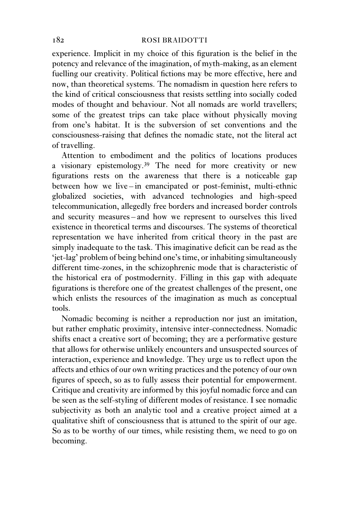experience. Implicit in my choice of this figuration is the belief in the potency and relevance of the imagination, of myth-making, as an element fuelling our creativity. Political fictions may be more effective, here and now, than theoretical systems. The nomadism in question here refers to the kind of critical consciousness that resists settling into socially coded modes of thought and behaviour. Not all nomads are world travellers; some of the greatest trips can take place without physically moving from one's habitat. It is the subversion of set conventions and the consciousness-raising that defines the nomadic state, not the literal act of travelling.

Attention to embodiment and the politics of locations produces a visionary epistemology.<sup>39</sup> The need for more creativity or new figurations rests on the awareness that there is a noticeable gap between how we live – in emancipated or post-feminist, multi-ethnic globalized societies, with advanced technologies and high-speed telecommunication, allegedly free borders and increased border controls and security measures – and how we represent to ourselves this lived existence in theoretical terms and discourses. The systems of theoretical representation we have inherited from critical theory in the past are simply inadequate to the task. This imaginative deficit can be read as the 'jet-lag' problem of being behind one's time, or inhabiting simultaneously different time-zones, in the schizophrenic mode that is characteristic of the historical era of postmodernity. Filling in this gap with adequate figurations is therefore one of the greatest challenges of the present, one which enlists the resources of the imagination as much as conceptual tools.

Nomadic becoming is neither a reproduction nor just an imitation, but rather emphatic proximity, intensive inter-connectedness. Nomadic shifts enact a creative sort of becoming; they are a performative gesture that allows for otherwise unlikely encounters and unsuspected sources of interaction, experience and knowledge. They urge us to reflect upon the affects and ethics of our own writing practices and the potency of our own figures of speech, so as to fully assess their potential for empowerment. Critique and creativity are informed by this joyful nomadic force and can be seen as the self-styling of different modes of resistance. I see nomadic subjectivity as both an analytic tool and a creative project aimed at a qualitative shift of consciousness that is attuned to the spirit of our age. So as to be worthy of our times, while resisting them, we need to go on becoming.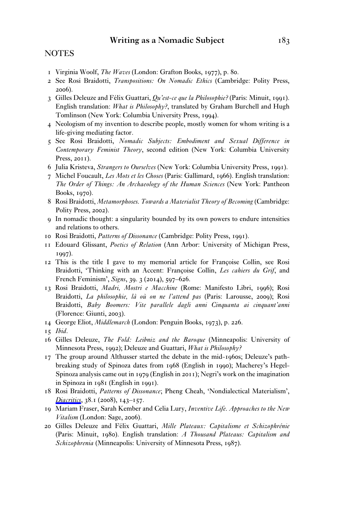# **NOTES**

- 1 Virginia Woolf, *The Waves* (London: Grafton Books, 1977), p. 80.
- 2 See Rosi Braidotti, *Transpositions: On Nomadic Ethics* (Cambridge: Polity Press, 2006).
- 3 Gilles Deleuze and Félix Guattari, *Qu'est-ce que la Philosophie?* (Paris: Minuit, 1991). English translation: *What is Philosophy?*, translated by Graham Burchell and Hugh Tomlinson (New York: Columbia University Press, 1994).
- 4 Neologism of my invention to describe people, mostly women for whom writing is a life-giving mediating factor.
- 5 See Rosi Braidotti, *Nomadic Subjects: Embodiment and Sexual Difference in Contemporary Feminist Theory*, second edition (New York: Columbia University Press, 2011).
- 6 Julia Kristeva, *Strangers to Ourselves* (New York: Columbia University Press, 1991).
- 7 Michel Foucault, *Les Mots et les Choses* (Paris: Gallimard, 1966). English translation: *The Order of Things: An Archaeology of the Human Sciences* (New York: Pantheon Books, 1970).
- 8 Rosi Braidotti, *Metamorphoses. Towards a Materialist Theory of Becoming* (Cambridge: Polity Press, 2002).
- 9 In nomadic thought: a singularity bounded by its own powers to endure intensities and relations to others.
- 10 Rosi Braidotti, *Patterns of Dissonance* (Cambridge: Polity Press, 1991).
- 11 Edouard Glissant, *Poetics of Relation* (Ann Arbor: University of Michigan Press, 1997).
- 12 This is the title I gave to my memorial article for Françoise Collin, see Rosi Braidotti, 'Thinking with an Accent: Françoise Collin, *Les cahiers du Grif*, and French Feminism', *Signs*, 39. 3 (2014), 597–626.
- 13 Rosi Braidotti, *Madri, Mostri e Macchine* (Rome: Manifesto Libri, 1996); Rosi Braidotti, *La philosophie, là où on ne l'attend pas* (Paris: Larousse, 2009); Rosi Braidotti, *Baby Boomers: Vite parallele dagli anni Cinquanta ai cinquant'anni* (Florence: Giunti, 2003).
- 14 George Eliot, *Middlemarch* (London: Penguin Books, 1973), p. 226.
- 15 *Ibid*.
- 16 Gilles Deleuze, *The Fold: Leibniz and the Baroque* (Minneapolis: University of Minnesota Press, 1992); Deleuze and Guattari, *What is Philosophy?*
- 17 The group around Althusser started the debate in the mid-1960s; Deleuze's pathbreaking study of Spinoza dates from 1968 (English in 1990); Macherey's Hegel-Spinoza analysis came out in 1979 (English in 2011); Negri's work on the imagination in Spinoza in 1981 (English in 1991).
- 18 Rosi Braidotti, *Patterns of Dissonance*; Pheng Cheah, 'Nondialectical Materialism', *[Diacritics](https://www.euppublishing.com/action/showLinks?doi=10.3366%2Fccs.2014.0122&isi=000270346800010&citationId=p_18)*, 38.1 (2008), 143–157.
- 19 Mariam Fraser, Sarah Kember and Celia Lury, *Inventive Life. Approaches to the New Vitalism* (London: Sage, 2006).
- 20 Gilles Deleuze and Félix Guattari, *Mille Plateaux: Capitalisme et Schizophrénie* (Paris: Minuit, 1980). English translation: *A Thousand Plateaus: Capitalism and Schizophrenia* (Minneapolis: University of Minnesota Press, 1987).